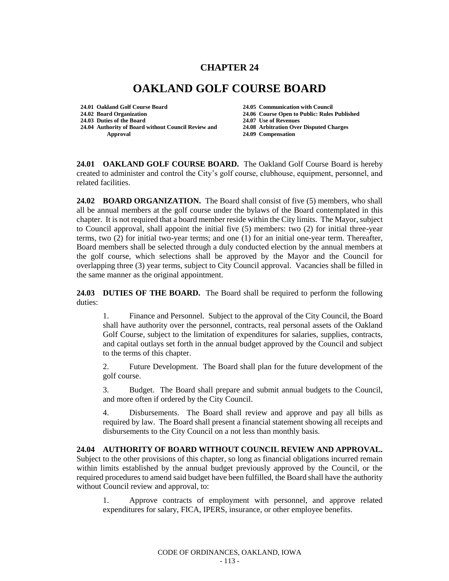## **CHAPTER 24**

## **OAKLAND GOLF COURSE BOARD**

**24.01 Oakland Golf Course Board 24.05 Communication with Council**

**24.03 Duties of the Board** 

**24.04 Authority of Board without Council Review and 24.08 Arbitration Over Disputed Charges**

**24.02 Board Organization 24.06 Course Open to Public: Rules Published Approval 24.09 Compensation**

**24.01 OAKLAND GOLF COURSE BOARD.** The Oakland Golf Course Board is hereby created to administer and control the City's golf course, clubhouse, equipment, personnel, and related facilities.

**24.02 BOARD ORGANIZATION.** The Board shall consist of five (5) members, who shall all be annual members at the golf course under the bylaws of the Board contemplated in this chapter. It is not required that a board member reside within the City limits. The Mayor, subject to Council approval, shall appoint the initial five (5) members: two (2) for initial three-year terms, two (2) for initial two-year terms; and one (1) for an initial one-year term. Thereafter, Board members shall be selected through a duly conducted election by the annual members at the golf course, which selections shall be approved by the Mayor and the Council for overlapping three (3) year terms, subject to City Council approval. Vacancies shall be filled in the same manner as the original appointment.

**24.03 DUTIES OF THE BOARD.** The Board shall be required to perform the following duties:

1. Finance and Personnel. Subject to the approval of the City Council, the Board shall have authority over the personnel, contracts, real personal assets of the Oakland Golf Course, subject to the limitation of expenditures for salaries, supplies, contracts, and capital outlays set forth in the annual budget approved by the Council and subject to the terms of this chapter.

2. Future Development. The Board shall plan for the future development of the golf course.

3. Budget. The Board shall prepare and submit annual budgets to the Council, and more often if ordered by the City Council.

4. Disbursements. The Board shall review and approve and pay all bills as required by law. The Board shall present a financial statement showing all receipts and disbursements to the City Council on a not less than monthly basis.

**24.04 AUTHORITY OF BOARD WITHOUT COUNCIL REVIEW AND APPROVAL.** Subject to the other provisions of this chapter, so long as financial obligations incurred remain within limits established by the annual budget previously approved by the Council, or the required procedures to amend said budget have been fulfilled, the Board shall have the authority without Council review and approval, to:

1. Approve contracts of employment with personnel, and approve related expenditures for salary, FICA, IPERS, insurance, or other employee benefits.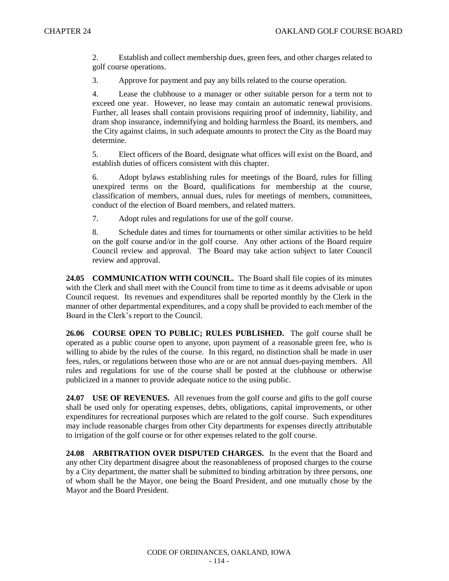2. Establish and collect membership dues, green fees, and other charges related to golf course operations.

3. Approve for payment and pay any bills related to the course operation.

4. Lease the clubhouse to a manager or other suitable person for a term not to exceed one year. However, no lease may contain an automatic renewal provisions. Further, all leases shall contain provisions requiring proof of indemnity, liability, and dram shop insurance, indemnifying and holding harmless the Board, its members, and the City against claims, in such adequate amounts to protect the City as the Board may determine.

5. Elect officers of the Board, designate what offices will exist on the Board, and establish duties of officers consistent with this chapter.

6. Adopt bylaws establishing rules for meetings of the Board, rules for filling unexpired terms on the Board, qualifications for membership at the course, classification of members, annual dues, rules for meetings of members, committees, conduct of the election of Board members, and related matters.

7. Adopt rules and regulations for use of the golf course.

8. Schedule dates and times for tournaments or other similar activities to be held on the golf course and/or in the golf course. Any other actions of the Board require Council review and approval. The Board may take action subject to later Council review and approval.

**24.05 COMMUNICATION WITH COUNCIL.** The Board shall file copies of its minutes with the Clerk and shall meet with the Council from time to time as it deems advisable or upon Council request. Its revenues and expenditures shall be reported monthly by the Clerk in the manner of other departmental expenditures, and a copy shall be provided to each member of the Board in the Clerk's report to the Council.

**26.06 COURSE OPEN TO PUBLIC; RULES PUBLISHED.** The golf course shall be operated as a public course open to anyone, upon payment of a reasonable green fee, who is willing to abide by the rules of the course. In this regard, no distinction shall be made in user fees, rules, or regulations between those who are or are not annual dues-paying members. All rules and regulations for use of the course shall be posted at the clubhouse or otherwise publicized in a manner to provide adequate notice to the using public.

**24.07 USE OF REVENUES.** All revenues from the golf course and gifts to the golf course shall be used only for operating expenses, debts, obligations, capital improvements, or other expenditures for recreational purposes which are related to the golf course. Such expenditures may include reasonable charges from other City departments for expenses directly attributable to irrigation of the golf course or for other expenses related to the golf course.

**24.08 ARBITRATION OVER DISPUTED CHARGES.** In the event that the Board and any other City department disagree about the reasonableness of proposed charges to the course by a City department, the matter shall be submitted to binding arbitration by three persons, one of whom shall be the Mayor, one being the Board President, and one mutually chose by the Mayor and the Board President.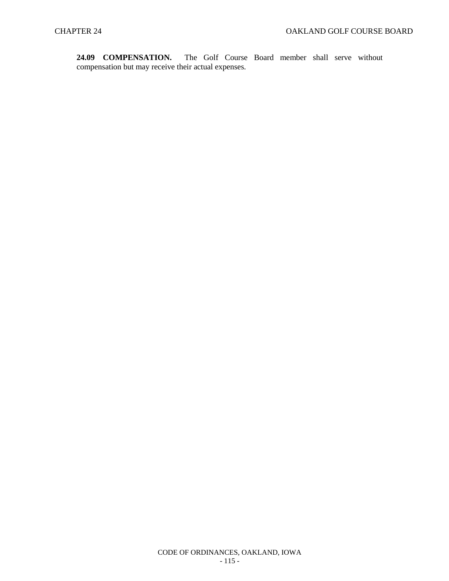**24.09 COMPENSATION.** The Golf Course Board member shall serve without compensation but may receive their actual expenses.